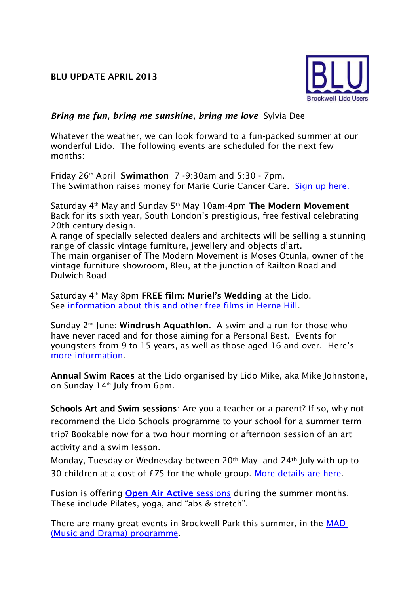

## *Bring me fun, bring me sunshine, bring me love*Sylvia Dee

Whatever the weather, we can look forward to a fun-packed summer at our wonderful Lido. The following events are scheduled for the next few months:

Friday 26th April **Swimathon** 7 -9:30am and 5:30 - 7pm. The Swimathon raises money for Marie Curie Cancer Care. [Sign up here.](http://www.swimathon.org/poolDetails.php?id=588&selected_town=3923#anchor1)

Saturday 4th May and Sunday 5th May 10am-4pm **The Modern Movement** Back for its sixth year, South London's prestigious, free festival celebrating 20th century design.

A range of specially selected dealers and architects will be selling a stunning range of classic vintage furniture, jewellery and objects d'art. The main organiser of The Modern Movement is Moses Otunla, owner of the vintage furniture showroom, Bleu, at the junction of Railton Road and Dulwich Road

Saturday 4th May 8pm **FREE film: Muriel's Wedding** at the Lido. See [information about this and other free films in Herne Hill.](http://www.freefilmfestivals.org/whats-on/herne-hill.html)

Sunday 2<sup>nd</sup> June: **Windrush Aquathlon**. A swim and a run for those who have never raced and for those aiming for a Personal Best. Events for youngsters from 9 to 15 years, as well as those aged 16 and over. Here's [more information.](www.windrushtri.co.uk/page/windrush-aquathlon)

**Annual Swim Races** at the Lido organised by Lido Mike, aka Mike Johnstone, on Sunday  $14<sup>th</sup>$  July from 6pm.

Schools Art and Swim sessions: Are you a teacher or a parent? If so, why not recommend the Lido Schools programme to your school for a summer term trip? Bookable now for a two hour morning or afternoon session of an art activity and a swim lesson.

Monday, Tuesday or Wednesday between 20th May and 24th July with up to 30 children at a cost of £75 for the whole group. [More details](http://www.fusion-lifestyle.com/centres/Brockwell_Lido/news/001_Brockwell_Lido_School_s_Programme_Launched?utm_source=BLU&utm_campaign=ab5ff3d2f6-BLU+update+April+2013&utm_medium=email) are here.

Fusion is offering **[Open Air Active](http://www.fusion-lifestyle.com/centres/Brockwell_Lido/news/001_Open_Air_Active_is_back_for_2013?utm_source=BLU&utm_campaign=ab5ff3d2f6-BLU+update+April+2013&utm_medium=email)** sessions during the summer months. These include Pilates, yoga, and "abs & stretch".

There are many great events in Brockwell Park this summer, in the [MAD](http://www.madforbrockwellpark.com/)  [\(Music and Drama\) programme.](http://www.madforbrockwellpark.com/)